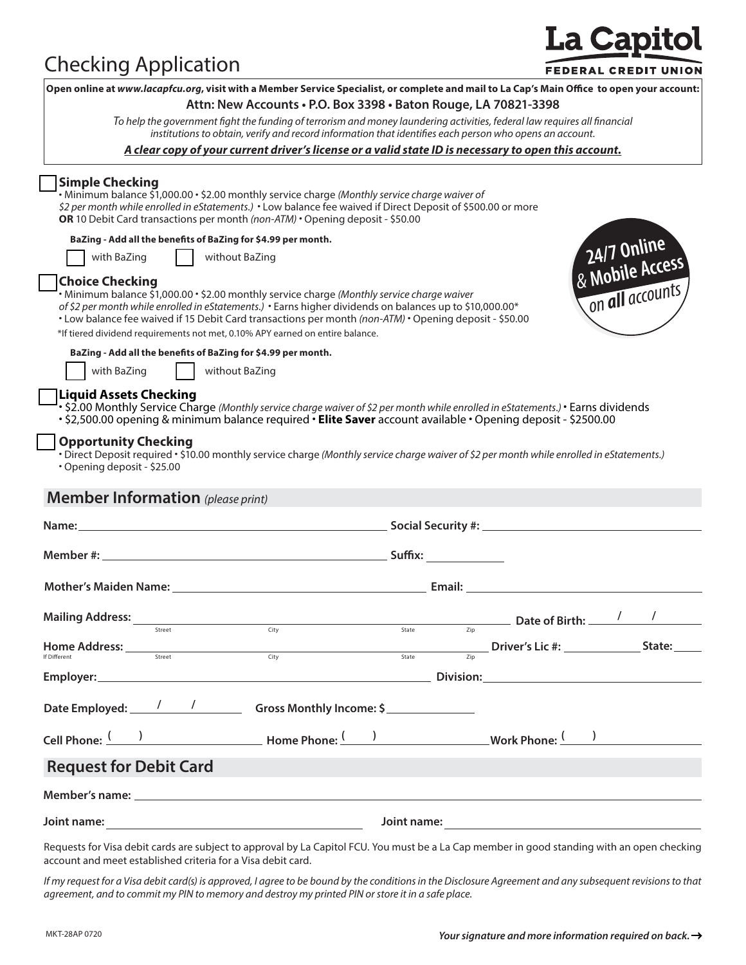## Checking Application

# **La Capitol**

|                                                                                                                                                                                                                                                                                             |        | Open online at www.lacapfcu.org, visit with a Member Service Specialist, or complete and mail to La Cap's Main Office to open your account:                                                                                                                                                                                                                                                        |       |                   |                        |                                |
|---------------------------------------------------------------------------------------------------------------------------------------------------------------------------------------------------------------------------------------------------------------------------------------------|--------|----------------------------------------------------------------------------------------------------------------------------------------------------------------------------------------------------------------------------------------------------------------------------------------------------------------------------------------------------------------------------------------------------|-------|-------------------|------------------------|--------------------------------|
|                                                                                                                                                                                                                                                                                             |        | Attn: New Accounts . P.O. Box 3398 . Baton Rouge, LA 70821-3398                                                                                                                                                                                                                                                                                                                                    |       |                   |                        |                                |
|                                                                                                                                                                                                                                                                                             |        | To help the government fight the funding of terrorism and money laundering activities, federal law requires all financial<br>institutions to obtain, verify and record information that identifies each person who opens an account.                                                                                                                                                               |       |                   |                        |                                |
|                                                                                                                                                                                                                                                                                             |        | A clear copy of your current driver's license or a valid state ID is necessary to open this account.                                                                                                                                                                                                                                                                                               |       |                   |                        |                                |
| <b>Simple Checking</b>                                                                                                                                                                                                                                                                      |        | • Minimum balance \$1,000.00 • \$2.00 monthly service charge (Monthly service charge waiver of<br>\$2 per month while enrolled in eStatements.) • Low balance fee waived if Direct Deposit of \$500.00 or more<br>OR 10 Debit Card transactions per month (non-ATM) • Opening deposit - \$50.00                                                                                                    |       |                   |                        |                                |
|                                                                                                                                                                                                                                                                                             |        | BaZing - Add all the benefits of BaZing for \$4.99 per month.                                                                                                                                                                                                                                                                                                                                      |       |                   |                        |                                |
| with BaZing                                                                                                                                                                                                                                                                                 |        | without BaZing                                                                                                                                                                                                                                                                                                                                                                                     |       |                   |                        | 24/7 Online<br>& Mobile Access |
|                                                                                                                                                                                                                                                                                             |        |                                                                                                                                                                                                                                                                                                                                                                                                    |       |                   |                        |                                |
| <b>Choice Checking</b>                                                                                                                                                                                                                                                                      |        | • Minimum balance \$1,000.00 • \$2.00 monthly service charge (Monthly service charge waiver<br>of \$2 per month while enrolled in eStatements.) • Earns higher dividends on balances up to \$10,000.00*<br>• Low balance fee waived if 15 Debit Card transactions per month (non-ATM) • Opening deposit - \$50.00<br>*If tiered dividend requirements not met, 0.10% APY earned on entire balance. |       |                   |                        | on all accounts,               |
|                                                                                                                                                                                                                                                                                             |        | BaZing - Add all the benefits of BaZing for \$4.99 per month.                                                                                                                                                                                                                                                                                                                                      |       |                   |                        |                                |
| with BaZing                                                                                                                                                                                                                                                                                 |        | without BaZing                                                                                                                                                                                                                                                                                                                                                                                     |       |                   |                        |                                |
| <b>Liquid Assets Checking</b>                                                                                                                                                                                                                                                               |        |                                                                                                                                                                                                                                                                                                                                                                                                    |       |                   |                        |                                |
|                                                                                                                                                                                                                                                                                             |        | • \$2.00 Monthly Service Charge (Monthly service charge waiver of \$2 per month while enrolled in eStatements.) • Earns dividends<br>. \$2,500.00 opening & minimum balance required . Elite Saver account available . Opening deposit - \$2500.00                                                                                                                                                 |       |                   |                        |                                |
| <b>Opportunity Checking</b>                                                                                                                                                                                                                                                                 |        |                                                                                                                                                                                                                                                                                                                                                                                                    |       |                   |                        |                                |
|                                                                                                                                                                                                                                                                                             |        | • Direct Deposit required • \$10.00 monthly service charge (Monthly service charge waiver of \$2 per month while enrolled in eStatements.)                                                                                                                                                                                                                                                         |       |                   |                        |                                |
| · Opening deposit - \$25.00                                                                                                                                                                                                                                                                 |        |                                                                                                                                                                                                                                                                                                                                                                                                    |       |                   |                        |                                |
|                                                                                                                                                                                                                                                                                             |        |                                                                                                                                                                                                                                                                                                                                                                                                    |       |                   |                        |                                |
| <b>Member Information</b> (please print)                                                                                                                                                                                                                                                    |        |                                                                                                                                                                                                                                                                                                                                                                                                    |       |                   |                        |                                |
|                                                                                                                                                                                                                                                                                             |        |                                                                                                                                                                                                                                                                                                                                                                                                    |       |                   |                        |                                |
|                                                                                                                                                                                                                                                                                             |        |                                                                                                                                                                                                                                                                                                                                                                                                    |       |                   |                        |                                |
|                                                                                                                                                                                                                                                                                             |        |                                                                                                                                                                                                                                                                                                                                                                                                    |       |                   |                        |                                |
|                                                                                                                                                                                                                                                                                             |        |                                                                                                                                                                                                                                                                                                                                                                                                    |       |                   |                        |                                |
|                                                                                                                                                                                                                                                                                             |        |                                                                                                                                                                                                                                                                                                                                                                                                    |       |                   |                        |                                |
|                                                                                                                                                                                                                                                                                             |        |                                                                                                                                                                                                                                                                                                                                                                                                    |       |                   |                        |                                |
|                                                                                                                                                                                                                                                                                             |        |                                                                                                                                                                                                                                                                                                                                                                                                    |       |                   |                        |                                |
|                                                                                                                                                                                                                                                                                             | Street | Citv                                                                                                                                                                                                                                                                                                                                                                                               | State |                   |                        |                                |
|                                                                                                                                                                                                                                                                                             |        |                                                                                                                                                                                                                                                                                                                                                                                                    | State | $\overline{Z}$ ip | Driver's Lic #: State: |                                |
|                                                                                                                                                                                                                                                                                             |        | <b>City</b>                                                                                                                                                                                                                                                                                                                                                                                        |       |                   |                        |                                |
|                                                                                                                                                                                                                                                                                             |        |                                                                                                                                                                                                                                                                                                                                                                                                    |       |                   |                        |                                |
|                                                                                                                                                                                                                                                                                             |        | Date Employed: 1 1 1 Gross Monthly Income: \$                                                                                                                                                                                                                                                                                                                                                      |       |                   |                        |                                |
|                                                                                                                                                                                                                                                                                             |        | Cell Phone: ( ) The Phone Phone: ( ) Work Phone: ( )                                                                                                                                                                                                                                                                                                                                               |       |                   |                        |                                |
|                                                                                                                                                                                                                                                                                             |        |                                                                                                                                                                                                                                                                                                                                                                                                    |       |                   |                        |                                |
|                                                                                                                                                                                                                                                                                             |        |                                                                                                                                                                                                                                                                                                                                                                                                    |       |                   |                        |                                |
| <b>Mailing Address:</b><br>$\underbrace{\textbf{Home Address:}\hspace{1.5cm}}_{\textcolor{red}{\textbf{Street}}}\hspace{1.5cm}\underbrace{\textbf{Home} \hspace{1.6cm}\textbf{Address:}\hspace{1.5cm}}_{\textcolor{blue}{\textbf{Street}}}\hspace{1.5cm}}$<br><b>Request for Debit Card</b> |        |                                                                                                                                                                                                                                                                                                                                                                                                    |       |                   |                        |                                |

Requests for Visa debit cards are subject to approval by La Capitol FCU. You must be a La Cap member in good standing with an open checking account and meet established criteria for a Visa debit card.

*If my request for a Visa debit card(s) is approved, I agree to be bound by the conditions in the Disclosure Agreement and any subsequent revisions to that agreement, and to commit my PIN to memory and destroy my printed PIN or store it in a safe place.*